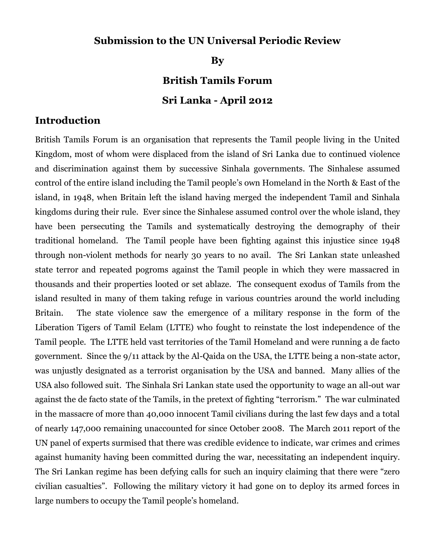### **Submission to the UN Universal Periodic Review**

**By**

# **British Tamils Forum**

#### **Sri Lanka - April 2012**

#### **Introduction**

British Tamils Forum is an organisation that represents the Tamil people living in the United Kingdom, most of whom were displaced from the island of Sri Lanka due to continued violence and discrimination against them by successive Sinhala governments. The Sinhalese assumed control of the entire island including the Tamil people's own Homeland in the North & East of the island, in 1948, when Britain left the island having merged the independent Tamil and Sinhala kingdoms during their rule. Ever since the Sinhalese assumed control over the whole island, they have been persecuting the Tamils and systematically destroying the demography of their traditional homeland. The Tamil people have been fighting against this injustice since 1948 through non-violent methods for nearly 30 years to no avail. The Sri Lankan state unleashed state terror and repeated pogroms against the Tamil people in which they were massacred in thousands and their properties looted or set ablaze. The consequent exodus of Tamils from the island resulted in many of them taking refuge in various countries around the world including Britain. The state violence saw the emergence of a military response in the form of the Liberation Tigers of Tamil Eelam (LTTE) who fought to reinstate the lost independence of the Tamil people. The LTTE held vast territories of the Tamil Homeland and were running a de facto government. Since the 9/11 attack by the Al-Qaida on the USA, the LTTE being a non-state actor, was unjustly designated as a terrorist organisation by the USA and banned. Many allies of the USA also followed suit. The Sinhala Sri Lankan state used the opportunity to wage an all-out war against the de facto state of the Tamils, in the pretext of fighting "terrorism." The war culminated in the massacre of more than 40,000 innocent Tamil civilians during the last few days and a total of nearly 147,000 remaining unaccounted for since October 2008. The March 2011 report of the UN panel of experts surmised that there was credible evidence to indicate, war crimes and crimes against humanity having been committed during the war, necessitating an independent inquiry. The Sri Lankan regime has been defying calls for such an inquiry claiming that there were "zero civilian casualties". Following the military victory it had gone on to deploy its armed forces in large numbers to occupy the Tamil people's homeland.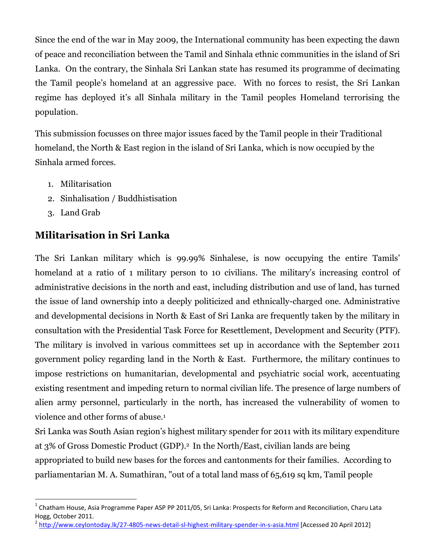Since the end of the war in May 2009, the International community has been expecting the dawn of peace and reconciliation between the Tamil and Sinhala ethnic communities in the island of Sri Lanka. On the contrary, the Sinhala Sri Lankan state has resumed its programme of decimating the Tamil people's homeland at an aggressive pace. With no forces to resist, the Sri Lankan regime has deployed it's all Sinhala military in the Tamil peoples Homeland terrorising the population.

This submission focusses on three major issues faced by the Tamil people in their Traditional homeland, the North & East region in the island of Sri Lanka, which is now occupied by the Sinhala armed forces.

- 1. Militarisation
- 2. Sinhalisation / Buddhistisation
- 3. Land Grab

 $\ddot{\phantom{a}}$ 

# **Militarisation in Sri Lanka**

The Sri Lankan military which is 99.99% Sinhalese, is now occupying the entire Tamils' homeland at a ratio of 1 military person to 10 civilians. The military's increasing control of administrative decisions in the north and east, including distribution and use of land, has turned the issue of land ownership into a deeply politicized and ethnically-charged one. Administrative and developmental decisions in North & East of Sri Lanka are frequently taken by the military in consultation with the Presidential Task Force for Resettlement, Development and Security (PTF). The military is involved in various committees set up in accordance with the September 2011 government policy regarding land in the North & East. Furthermore, the military continues to impose restrictions on humanitarian, developmental and psychiatric social work, accentuating existing resentment and impeding return to normal civilian life. The presence of large numbers of alien army personnel, particularly in the north, has increased the vulnerability of women to violence and other forms of abuse.<sup>1</sup>

Sri Lanka was South Asian region's highest military spender for 2011 with its military expenditure at 3% of Gross Domestic Product (GDP). <sup>2</sup> In the North/East, civilian lands are being appropriated to build new bases for the forces and cantonments for their families. According to parliamentarian M. A. Sumathiran, "out of a total land mass of 65,619 sq km, Tamil people

<sup>&</sup>lt;sup>1</sup> Chatham House, Asia Programme Paper ASP PP 2011/05, Sri Lanka: Prospects for Reform and Reconciliation, Charu Lata Hogg, October 2011.

<sup>&</sup>lt;sup>2</sup> <http://www.ceylontoday.lk/27-4805-news-detail-sl-highest-military-spender-in-s-asia.html> [Accessed 20 April 2012]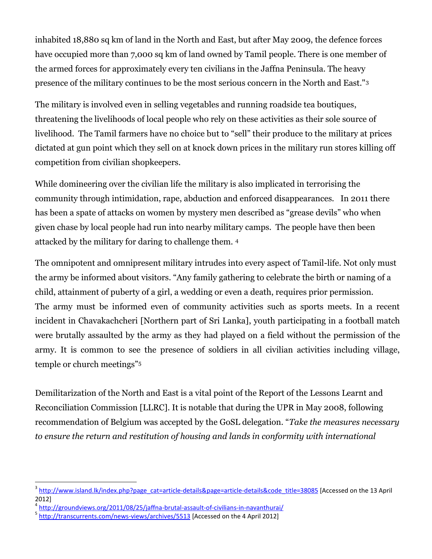inhabited 18,880 sq km of land in the North and East, but after May 2009, the defence forces have occupied more than 7,000 sq km of land owned by Tamil people. There is one member of the armed forces for approximately every ten civilians in the Jaffna Peninsula. The heavy presence of the military continues to be the most serious concern in the North and East."<sup>3</sup>

The military is involved even in selling vegetables and running roadside tea boutiques, threatening the livelihoods of local people who rely on these activities as their sole source of livelihood. The Tamil farmers have no choice but to "sell" their produce to the military at prices dictated at gun point which they sell on at knock down prices in the military run stores killing off competition from civilian shopkeepers.

While domineering over the civilian life the military is also implicated in terrorising the community through intimidation, rape, abduction and enforced disappearances. In 2011 there has been a spate of attacks on women by mystery men described as "grease devils" who when given chase by local people had run into nearby military camps. The people have then been attacked by the military for daring to challenge them. <sup>4</sup>

The omnipotent and omnipresent military intrudes into every aspect of Tamil-life. Not only must the army be informed about visitors. "Any family gathering to celebrate the birth or naming of a child, attainment of puberty of a girl, a wedding or even a death, requires prior permission. The army must be informed even of community activities such as sports meets. In a recent incident in Chavakachcheri [Northern part of Sri Lanka], youth participating in a football match were brutally assaulted by the army as they had played on a field without the permission of the army. It is common to see the presence of soldiers in all civilian activities including village, temple or church meetings"<sup>5</sup>

Demilitarization of the North and East is a vital point of the Report of the Lessons Learnt and Reconciliation Commission [LLRC]. It is notable that during the UPR in May 2008, following recommendation of Belgium was accepted by the GoSL delegation. "*Take the measures necessary to ensure the return and restitution of housing and lands in conformity with international* 

 $\ddot{\phantom{a}}$ <sup>3</sup> [http://www.island.lk/index.php?page\\_cat=article-details&page=article-details&code\\_title=38085](http://www.island.lk/index.php?page_cat=article-details&page=article-details&code_title=38085) [Accessed on the 13 April 2012]

<sup>4</sup> <http://groundviews.org/2011/08/25/jaffna-brutal-assault-of-civilians-in-navanthurai/>

<sup>&</sup>lt;sup>5</sup> <http://transcurrents.com/news-views/archives/5513> [Accessed on the 4 April 2012]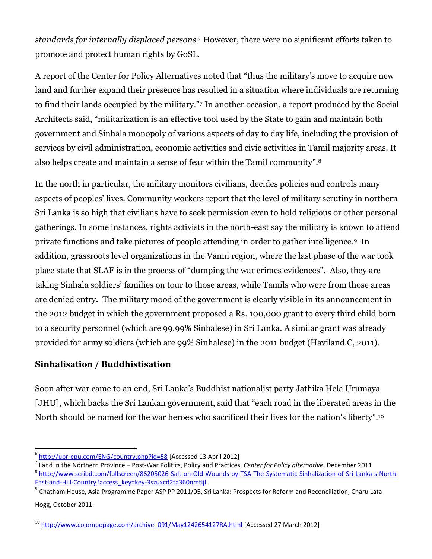*standards for internally displaced persons*. <sup>6</sup> However, there were no significant efforts taken to promote and protect human rights by GoSL.

A report of the Center for Policy Alternatives noted that "thus the military's move to acquire new land and further expand their presence has resulted in a situation where individuals are returning to find their lands occupied by the military." <sup>7</sup> In another occasion, a report produced by the Social Architects said, "militarization is an effective tool used by the State to gain and maintain both government and Sinhala monopoly of various aspects of day to day life, including the provision of services by civil administration, economic activities and civic activities in Tamil majority areas. It also helps create and maintain a sense of fear within the Tamil community". 8

In the north in particular, the military monitors civilians, decides policies and controls many aspects of peoples' lives. Community workers report that the level of military scrutiny in northern Sri Lanka is so high that civilians have to seek permission even to hold religious or other personal gatherings. In some instances, rights activists in the north-east say the military is known to attend private functions and take pictures of people attending in order to gather intelligence.<sup>9</sup> In addition, grassroots level organizations in the Vanni region, where the last phase of the war took place state that SLAF is in the process of "dumping the war crimes evidences". Also, they are taking Sinhala soldiers' families on tour to those areas, while Tamils who were from those areas are denied entry. The military mood of the government is clearly visible in its announcement in the 2012 budget in which the government proposed a Rs. 100,000 grant to every third child born to a security personnel (which are 99.99% Sinhalese) in Sri Lanka. A similar grant was already provided for army soldiers (which are 99% Sinhalese) in the 2011 budget (Haviland.C, 2011).

### **Sinhalisation / Buddhistisation**

 $\overline{a}$ 

Soon after war came to an end, Sri Lanka's Buddhist nationalist party Jathika Hela Urumaya [JHU], which backs the Sri Lankan government, said that "each road in the liberated areas in the North should be named for the war heroes who sacrificed their lives for the nation's liberty". 10

<sup>&</sup>lt;sup>6</sup> <http://upr-epu.com/ENG/country.php?id=58> [Accessed 13 April 2012]

<sup>7</sup> Land in the Northern Province – Post-War Politics, Policy and Practices, *Center for Policy alternative*, December 2011

<sup>&</sup>lt;sup>8</sup> [http://www.scribd.com/fullscreen/86205026-Salt-on-Old-Wounds-by-TSA-The-Systematic-Sinhalization-of-Sri-Lanka-s-North-](http://www.scribd.com/fullscreen/86205026-Salt-on-Old-Wounds-by-TSA-The-Systematic-Sinhalization-of-Sri-Lanka-s-North-East-and-Hill-Country?access_key=key-3szuxcd2ta360nmtijl)[East-and-Hill-Country?access\\_key=key-3szuxcd2ta360nmtijl](http://www.scribd.com/fullscreen/86205026-Salt-on-Old-Wounds-by-TSA-The-Systematic-Sinhalization-of-Sri-Lanka-s-North-East-and-Hill-Country?access_key=key-3szuxcd2ta360nmtijl)

<sup>9</sup> Chatham House, Asia Programme Paper ASP PP 2011/05, Sri Lanka: Prospects for Reform and Reconciliation, Charu Lata Hogg, October 2011.

<sup>&</sup>lt;sup>10</sup> [http://www.colombopage.com/archive\\_091/May1242654127RA.html](http://www.colombopage.com/archive_091/May1242654127RA.html) [Accessed 27 March 2012]